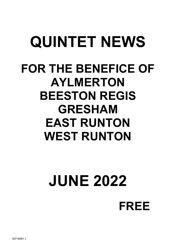## QUINTET NEWS FOR THE BENEFICE OF AYLMERTON BEESTON REGIS GRESHAM EAST RUNTON WEST RUNTON

# JUNE 2022

FREE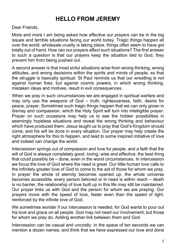#### HELLO FROM JEREMY

Dear Friends,

More and more I am being asked how effective our prayers can be in the big issues and terrible situations facing our world today. Tragic things happen all over the world, wholesale cruelty is taking place, things often seem to have got totally out of hand. How can our prayers affect such situations? The first answer to such a question is that our prayers keep the situation tied to God, they prevent him from being pushed out.

A second answer is that most sinful situations arise from wrong thinking, wrong attitudes, and wrong decisions within the spirits and minds of people, so that the struggle is basically spiritual. St Paul reminds us that our wrestling is not against human foes, but against cosmic powers, in which wrong thinking, mistaken ideas and motives, result in evil consequences.

When we pray in such circumstances we are engaged in spiritual warfare and may only use the weapons of God – truth, righteousness, faith, desire for peace, prayer. Sometimes such tragic things happen that we can only groan in dismay and compassion, which the Holy Spirit will turn into intelligible prayer. Prayer on such occasions may help us to see the hidden possibilities in seemingly hopeless situations and reveal the wrong thinking and behaviour which have produced them. Jesus taught us to pray that God's Kingdom should come, and his will be done in every situation. Our prayer may help create the right atmosphere for this to happen, and lead to some inspired initiative of love and indeed can change the world.

Intercession springs out of compassion and love for people, and a faith that the will of God is always completely good, loving, wise and effective, the best thing that could possibly be – done, even in the worst circumstances. In intercession we focus the love of God where the need is great. Our little human love calls to the infinitely greater love of God to come to the aid of those for whom we pray. In prayer the whole of eternity becomes opened up, the whole universe becomes accessible, every person beloved or in need is within reach – death is no barrier, the relationship of love built up in this life may still be maintained. Our prayer links us with God and the person for whom we are praying. Our prayers move with the speed of love, faster even than the speed of light, reinforced by the infinite love of God.

We sometimes wonder if our intercession is needed, for God wants to pour out his love and grace on all people. God may not need our involvement, but those for whom we pray do. Adding another link between them and God.

Intercession can be casual and uncostly. In the space of ten seconds we can mention a dozen names, and think that we have expressed our love and done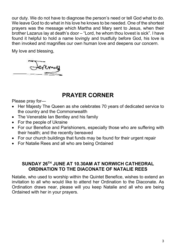our duty. We do not have to diagnose the person's need or tell God what to do. We leave God to do what in his love he knows to be needed. One of the shortest prayers was the message which Martha and Mary sent to Jesus, when their brother Lazarus lay at death's door – "Lord, he whom thou lovest is sick". I have found it helpful to hold a name lovingly and trustfully before God, his love is then invoked and magnifies our own human love and deepens our concern.

My love and blessing,



## PRAYER CORNER

Please pray for—

- Her Majesty The Queen as she celebrates 70 years of dedicated service to the country and the Commonwealth
- The Venerable Ian Bentley and his family
- For the people of Ukraine
- For our Benefice and Parishioners, especially those who are suffering with their health; and the recently bereaved
- For our church buildings that funds may be found for their urgent repair
- For Natalie Rees and all who are being Ordained

#### SUNDAY 26TH JUNE AT 10.30AM AT NORWICH CATHEDRAL ORDINATION TO THE DIACONATE OF NATALIE REES

Natalie, who used to worship within the Quintet Benefice, wishes to extend an invitation to all who would like to attend her Ordination to the Diaconate. As Ordination draws near, please will you keep Natalie and all who are being Ordained with her in your prayers.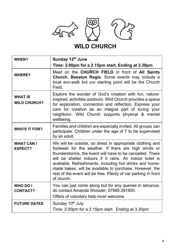

## WILD CHURCH

| WHEN?                                 | Sunday 12th June                                                                                                                                                                                                                                                                                                                                                                                                                                |
|---------------------------------------|-------------------------------------------------------------------------------------------------------------------------------------------------------------------------------------------------------------------------------------------------------------------------------------------------------------------------------------------------------------------------------------------------------------------------------------------------|
|                                       | Time: 2.00pm for a 2.15pm start. Ending at 3.30pm                                                                                                                                                                                                                                                                                                                                                                                               |
| <b>WHERE?</b>                         | Meet on the CHURCH FIELD in front of All Saints<br>Church, Beeston Regis. Some events may include a<br>local eco-walk but our starting point will be the Church<br>Field.                                                                                                                                                                                                                                                                       |
| <b>WHAT IS</b><br><b>WILD CHURCH?</b> | Explore the wonder of God's creation with fun, nature-<br>inspired, activities outdoors. Wild Church provides a space<br>for exploration, connection and reflection. Express your<br>care for creation as an integral part of loving your<br>neighbour. Wild Church supports physical & mental<br>wellbeing.                                                                                                                                    |
| <b>WHO'S IT FOR?</b>                  | Families and children are especially invited. All groups can<br>participate. Children under the age of 7 to be supervised<br>by an adult.                                                                                                                                                                                                                                                                                                       |
| <b>WHAT CAN I</b><br><b>EXPECT?</b>   | We will be outside, so dress in appropriate clothing and<br>footwear for the weather. If there are high winds or<br>thunderstorms, the event will have to be cancelled. There<br>will be shelter indoors if it rains. An indoor toilet is<br>available. Refreshments, including hot drinks and home-<br>made bakes, will be available to purchase. However, the<br>rest of the event will be free. Plenty of car parking in front<br>of church. |
| <b>WHO DO I</b><br><b>CONTACT?</b>    | You can just come along but for any queries in advance,<br>do contact Amanda Wooster, 07985 291930.<br>Offers of voluntary help most welcome                                                                                                                                                                                                                                                                                                    |
| <b>FUTURE DATES</b>                   | Sunday 10 <sup>th</sup> July<br>Time: 2.00pm for a 2.15pm start. Ending at 3.30pm                                                                                                                                                                                                                                                                                                                                                               |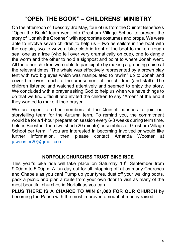## "OPEN THE BOOK" – CHILDRENS' MINISTRY

On the afternoon of Tuesday 3rd May, four of us from the Quintet Benefice's "Open the Book" team went into Gresham Village School to present the story of "Jonah the Groaner" with appropriate costumes and props. We were able to involve seven children to help us – two as sailors in the boat with the captain, two to wave a blue cloth in front of the boat to make a rough sea, one as a tree (who fell over very dramatically on cue), one to dangle the worm and the other to hold a signpost and point to where Jonah went. All the other children were able to participate by making a groaning noise at the relevant times. The whale was effectively represented by a brown play tent with two big eyes which was manipulated to "swim" up to Jonah and cover him over, much to the amusement of the children (and staff). The children listened and watched attentively and seemed to enjoy the story. We concluded with a prayer asking God to help us when we have things to do that we find difficult and invited the children to say "Amen" at the end if they wanted to make it their prayer.

We are open to other members of the Quintet parishes to join our storytelling team for the Autumn term. To remind you, the commitment would be for a 1-hour preparation session every 6-8 weeks during term time, held in Beeston, then two short (20 minute) assemblies at Gresham Village School per term. If you are interested in becoming involved or would like further information, then please contact Amanda Wooster at jawooster20@gmail.com.

#### NORFOLK CHURCHES TRUST BIKE RIDE

This year's bike ride will take place on Saturday  $10<sup>th</sup>$  September from 9.00am to 5.00pm. A fun day out for all, stopping off at as many Churches and Chapels as you can! Pump up your tyres, dust off your walking boots, pack a picnic and plan a route from your own door to visit as many of the most beautiful churches in Norfolk as you can.

PLUS THERE IS A CHANCE TO WIN £1,000 FOR OUR CHURCH by becoming the Parish with the most improved amount of money raised.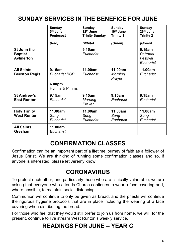## SUNDAY SERVICES IN THE BENEFICE FOR JUNE

|                                            | Sunday<br>5 <sup>th</sup> June<br><b>Pentecost</b><br>(Red) | Sunday<br>12 <sup>th</sup> June<br><b>Trinity Sunday</b><br>(White) | Sunday<br>19 <sup>th</sup> June<br><b>Trinity 1</b><br>(Green) | Sunday<br>26 <sup>th</sup> June<br><b>Trinity 2</b><br>(Green) |
|--------------------------------------------|-------------------------------------------------------------|---------------------------------------------------------------------|----------------------------------------------------------------|----------------------------------------------------------------|
| St John the<br><b>Baptist</b><br>Aylmerton |                                                             | 9.15am<br>Eucharist                                                 |                                                                | $9.15$ am<br>Patronal<br>Festival<br>Eucharist                 |
| <b>All Saints</b><br><b>Beeston Regis</b>  | 9.15am<br><b>Eucharist BCP</b><br>6.00pm<br>Hymns & Pimms   | 11.00am<br>Eucharist                                                | 11.00am<br>Morning<br>Prayer                                   | 11.00am<br>Eucharist                                           |
| St Andrew's<br><b>East Runton</b>          | 9.15am<br>Eucharist                                         | 9.15am<br>Morning<br>Prayer                                         | 9.15am<br>Eucharist                                            | $9.15$ am<br>Eucharist                                         |
| <b>Holy Trinity</b><br><b>West Runton</b>  | 11.00am<br>Sunq<br>Eucharist                                | 11.00am<br>Sunq<br>Eucharist                                        | 11.00am<br>Sung<br>Eucharist                                   | 11.00am<br>Sung<br>Eucharist                                   |
| <b>All Saints</b><br>Gresham               | 11.00am<br>Eucharist                                        |                                                                     |                                                                |                                                                |

#### CONFIRMATION CLASSES

Confirmation can be an important part of a lifetime journey of faith as a follower of Jesus Christ. We are thinking of running some confirmation classes and so, if anyone is interested, please let Jeremy know.

#### **CORONAVIRUS**

To protect each other, and particularly those who are clinically vulnerable, we are asking that everyone who attends Church continues to wear a face covering and, where possible, to maintain social distancing.

Communion will continue to only be given as bread, and the priests will continue the rigorous hygiene protocols that are in place including the wearing of a face covering when distributing the bread.

For those who feel that they would still prefer to join us from home, we will, for the present, continue to live stream West Runton's weekly service.

## READINGS FOR JUNE – YEAR C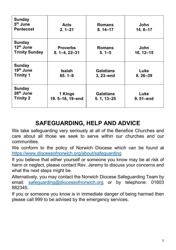| Sunday<br>5 <sup>th</sup> June<br><b>Pentecost</b>              | Acts<br>$2.1 - 21$                    | <b>Romans</b><br>$8.14 - 17$       | John<br>$14.8 - 17$ |
|-----------------------------------------------------------------|---------------------------------------|------------------------------------|---------------------|
| <b>Sunday</b><br>12 <sup>th</sup> June<br><b>Trinity Sunday</b> | <b>Proverbs</b><br>$8.1 - 4, 22 - 31$ | <b>Romans</b><br>$5.1 - 5$         | John<br>16.12-15    |
| Sunday<br>19th June<br><b>Trinity 1</b>                         | Isaiah<br>$65.1 - 9$                  | <b>Galatians</b><br>3, 23-end      | Luke<br>$8.26 - 39$ |
| Sunday<br>26 <sup>th</sup> June<br><b>Trinity 2</b>             | 1 Kings<br>19. 5-16, 19-end           | <b>Galatians</b><br>$5.1, 13 - 25$ | Luke<br>9.51-end    |

## SAFEGUARDING, HELP AND ADVICE

We take safeguarding very seriously at all of the Benefice Churches and care about all those we seek to serve within our churches and our communities.

We conform to the policy of Norwich Diocese which can be found at https://www.dioceseofnorwich.org/about/safeguarding

If you believe that either yourself or someone you know may be at risk of harm or neglect, please contact Rev. Jeremy to discuss your concerns and what the next steps might be.

Alternatively, you may contact the Norwich Diocese Safeguarding Team by email: safeguarding@dioceseofnorwich.org or by telephone: 01603 882345.

If you or someone you know is in immediate danger of being harmed then please call 999 to be advised by the emergency services.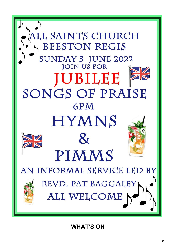

WHAT'S ON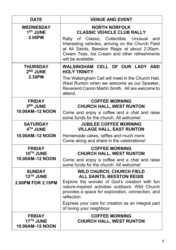| <b>DATE</b>                                        | <b>VENUE AND EVENT</b>                                                                                                                                                                                                                                                                                                    |
|----------------------------------------------------|---------------------------------------------------------------------------------------------------------------------------------------------------------------------------------------------------------------------------------------------------------------------------------------------------------------------------|
| <b>WEDNESDAY</b><br>1 <sup>ST</sup> JUNE<br>2.00PM | <b>NORTH NORFOLK</b><br><b>CLASSIC VEHICLE CLUB RALLY</b><br>of Classic, Collectible, Unusual<br>Rally<br>and<br>Interesting vehicles, arriving on the Church Field<br>at All Saints, Beeston Regis at about 2.00pm.<br>Cream Teas, Ice Cream and other refreshments<br>will be available.                                |
| <b>THURSDAY</b><br>2 <sup>ND</sup> JUNE<br>2.30PM  | WALSINGHAM CELL OF OUR LADY AND<br><b>HOLY TRINITY</b><br>The Walsingham Cell will meet in the Church Hall,<br>West Runton when we welcome as our Speaker,<br>Reverend Canon Martin Smith. All are welcome to<br>attend.                                                                                                  |
| <b>FRIDAY</b><br>3RD JUNE<br>10.00AM-12 NOON       | <b>COFFEE MORNING</b><br><b>CHURCH HALL, WEST RUNTON</b><br>Come and enjoy a coffee and a chat and raise<br>some funds for the church. All welcome!                                                                                                                                                                       |
| <b>SATURDAY</b><br>4TH JUNE<br>10.00AM-12 NOON     | <b>JUBILEE COFFEE MORNING</b><br><b>VILLAGE HALL, EAST RUNTON</b><br>Homemade cakes, raffles and much more.<br>Come along and share in the celebrations!                                                                                                                                                                  |
| <b>FRIDAY</b><br>10TH JUNE<br>10.00AM-12 NOON      | <b>COFFEE MORNING</b><br><b>CHURCH HALL, WEST RUNTON</b><br>Come and enjoy a coffee and a chat and raise<br>some funds for the church. All welcome!                                                                                                                                                                       |
| <b>SUNDAY</b><br>12TH JUNE<br>2.00PM FOR 2.15PM    | <b>WILD CHURCH, CHURCH FIELD</b><br>ALL SAINTS, BEESTON REGIS<br>Explore the wonder of God's creation with fun<br>nature-inspired activities outdoors. Wild Church<br>provides a space for exploration, connection, and<br>reflection.<br>Express your care for creation as an integral part<br>of loving your neighbour. |
| <b>FRIDAY</b><br>17TH JUNE<br>10.00AM-12 NOON      | <b>COFFEE MORNING</b><br><b>CHURCH HALL, WEST RUNTON</b>                                                                                                                                                                                                                                                                  |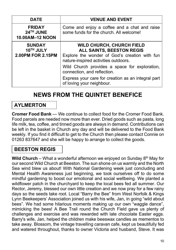| <b>DATE</b>                                     | <b>VENUE AND EVENT</b>                                                                                                                                        |
|-------------------------------------------------|---------------------------------------------------------------------------------------------------------------------------------------------------------------|
| <b>FRIDAY</b><br>24TH JUNE<br>10.00AM-12 NOON   | Come and enjoy a coffee and a chat and raise<br>some funds for the church. All welcome!                                                                       |
| <b>SUNDAY</b><br>10TH JULY<br>2.00PM FOR 2.15PM | <b>WILD CHURCH, CHURCH FIELD</b><br><b>ALL SAINTS, BEESTON REGIS</b><br>Explore the wonder of God's creation with fun<br>nature-inspired activities outdoors. |
|                                                 | Wild Church provides a space for exploration,<br>connection, and reflection.                                                                                  |
|                                                 | Express your care for creation as an integral part<br>of loving your neighbour.                                                                               |

#### NEWS FROM THE QUINTET BENEFICE

#### AYLMERTON

Cromer Food Bank — We continue to collect food for the Cromer Food Bank. Food parcels are needed now more than ever. Dried goods such as pasta, long life milk, tea, coffee, and tinned goods are always in demand. Contributions can be left in the basket in Church any day and will be delivered to the Food Bank weekly. If you find it difficult to get to the Church then please contact Connie on 01263 837647 and she will be happy to arrange to collect the goods.

#### BEESTON REGIS

Wild Church – What a wonderful afternoon we enjoyed on Sunday  $8<sup>th</sup>$  May for our second Wild Church at Beeston. The sun shone on us warmly and the North Sea wind blew us about! With National Gardening week just concluding and Mental Health Awareness just beginning, we took ourselves off to do some mindful gardening to boost our emotional and social wellbeing. We planted a wildflower patch in the churchyard to keep the local bees fed all summer. Our Rector, Jeremy, blessed our own little creation and we now pray for a few rainy days so the seeds take root. Local "Barry the Bee" from West Norfolk & Kings Lynn Beekeepers' Association joined us with his wife, Jan, in going "wild about bees". We had some hilarious moments making up our own "waggle dance", mimicking the bees! A Bee Trail round the Church Field gave us plenty of challenges and exercise and was rewarded with late chocolate Easter eggs. Barry's wife, Jan, helped the children make beeswax candles as mementos to take away. Blossom, the vintage travelling caravan cafe, kept us beautifully fed and watered throughout, thanks to owner Victoria and husband, Steve. It was